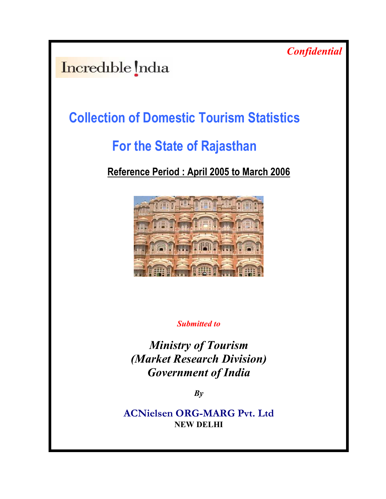**Confidential** 

Incredible India

# Collection of Domestic Tourism Statistics

# For the State of Rajasthan

# Reference Period : April 2005 to March 2006



Submitted to

Ministry of Tourism (Market Research Division) Government of India

 $By$ 

ACNielsen ORG-MARG Pvt. Ltd NEW DELHI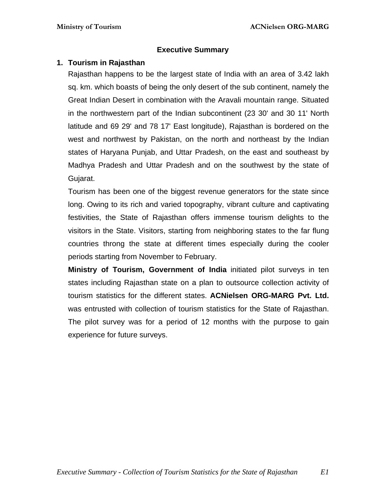## **Executive Summary**

## **1. Tourism in Rajasthan**

Rajasthan happens to be the largest state of India with an area of 3.42 lakh sq. km. which boasts of being the only desert of the sub continent, namely the Great Indian Desert in combination with the Aravali mountain range. Situated in the northwestern part of the Indian subcontinent (23 30' and 30 11' North latitude and 69 29' and 78 17' East longitude), Rajasthan is bordered on the west and northwest by Pakistan, on the north and northeast by the Indian states of Haryana Punjab, and Uttar Pradesh, on the east and southeast by Madhya Pradesh and Uttar Pradesh and on the southwest by the state of Gujarat.

Tourism has been one of the biggest revenue generators for the state since long. Owing to its rich and varied topography, vibrant culture and captivating festivities, the State of Rajasthan offers immense tourism delights to the visitors in the State. Visitors, starting from neighboring states to the far flung countries throng the state at different times especially during the cooler periods starting from November to February.

**Ministry of Tourism, Government of India** initiated pilot surveys in ten states including Rajasthan state on a plan to outsource collection activity of tourism statistics for the different states. **ACNielsen ORG-MARG Pvt. Ltd.**  was entrusted with collection of tourism statistics for the State of Rajasthan. The pilot survey was for a period of 12 months with the purpose to gain experience for future surveys.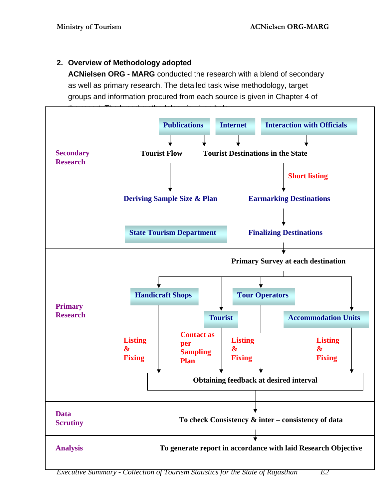# **2. Overview of Methodology adopted**

**ACNielsen ORG - MARG** conducted the research with a blend of secondary as well as primary research. The detailed task wise methodology, target groups and information procured from each source is given in Chapter 4 of



*Executive Summary - Collection of Tourism Statistics for the State of Rajasthan E2*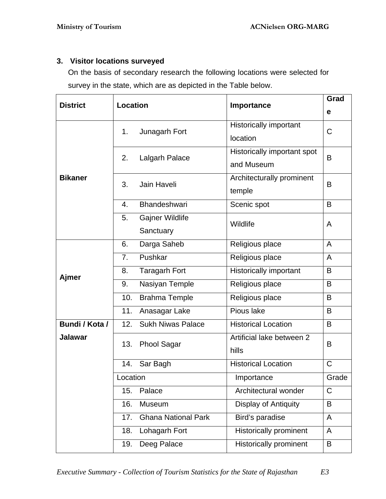# **3. Visitor locations surveyed**

On the basis of secondary research the following locations were selected for survey in the state, which are as depicted in the Table below.

| <b>District</b> | <b>Location</b>                   | Importance                    | Grad         |
|-----------------|-----------------------------------|-------------------------------|--------------|
|                 |                                   |                               | е            |
|                 |                                   | <b>Historically important</b> |              |
|                 | Junagarh Fort<br>1.               | location                      | C            |
|                 |                                   | Historically important spot   |              |
|                 | 2.<br>Lalgarh Palace              | and Museum                    | B            |
| <b>Bikaner</b>  |                                   | Architecturally prominent     |              |
|                 | 3.<br>Jain Haveli                 | temple                        | B            |
|                 | Bhandeshwari<br>4.                | Scenic spot                   | B            |
|                 | Gajner Wildlife<br>5.             |                               |              |
|                 | Sanctuary                         | Wildlife                      | A            |
|                 | Darga Saheb<br>6.                 | Religious place               | A            |
|                 | Pushkar<br>7.                     | Religious place               | $\mathsf{A}$ |
|                 | <b>Taragarh Fort</b><br>8.        | Historically important        | B            |
| Ajmer           | Nasiyan Temple<br>9.              | Religious place               | B            |
|                 | 10.<br><b>Brahma Temple</b>       | Religious place               | B            |
|                 | 11.<br>Anasagar Lake              | Pious lake                    | B            |
| Bundi / Kota /  | <b>Sukh Niwas Palace</b><br>12.   | <b>Historical Location</b>    | B            |
| <b>Jalawar</b>  | 13.<br><b>Phool Sagar</b>         | Artificial lake between 2     | B            |
|                 |                                   | hills                         |              |
|                 | Sar Bagh<br>14.                   | <b>Historical Location</b>    | $\mathsf C$  |
|                 | Location                          | Importance                    | Grade        |
|                 | 15.<br>Palace                     | Architectural wonder          | $\mathsf C$  |
|                 | 16.<br>Museum                     | Display of Antiquity          | B            |
|                 | <b>Ghana National Park</b><br>17. | Bird's paradise               | A            |
|                 | 18.<br>Lohagarh Fort              | <b>Historically prominent</b> | A            |
|                 | Deeg Palace<br>19.                | Historically prominent        | B            |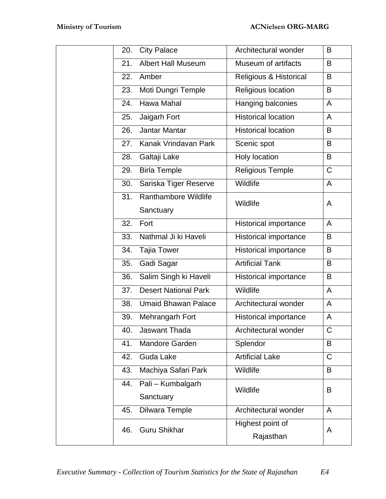| <b>City Palace</b><br>Architectural wonder<br>20.<br>B<br><b>Albert Hall Museum</b><br>21.<br>Museum of artifacts<br>B<br>Amber<br>Religious & Historical<br>B<br>22.<br>Moti Dungri Temple<br>Religious location<br>B<br>23.<br>Hawa Mahal<br>Hanging balconies<br>24.<br>$\mathsf{A}$<br><b>Historical location</b><br>Jaigarh Fort<br>$\mathsf{A}$<br>25.<br><b>Historical location</b><br>Jantar Mantar<br>B<br>26.<br>Kanak Vrindavan Park<br>Scenic spot<br>27.<br>B<br>Holy location<br>Galtaji Lake<br>B<br>28.<br>Religious Temple<br>$\mathsf C$<br><b>Birla Temple</b><br>29.<br>Wildlife<br>Sariska Tiger Reserve<br>$\mathsf{A}$<br>30.<br>Ranthambore Wildlife<br>31.<br>Wildlife<br>A<br>Sanctuary<br>32.<br>Fort<br><b>Historical importance</b><br>$\mathsf{A}$<br>Nathmal Ji ki Haveli<br><b>Historical importance</b><br>B<br>33.<br><b>Historical importance</b><br><b>Tajia Tower</b><br>B<br>34.<br><b>Artificial Tank</b><br>B<br>Gadi Sagar<br>35.<br>Salim Singh ki Haveli<br><b>Historical importance</b><br>36.<br>B<br><b>Desert National Park</b><br>Wildlife<br>37.<br>A<br>Architectural wonder<br>38.<br><b>Umaid Bhawan Palace</b><br>A<br>Mehrangarh Fort<br>Historical importance<br>39.<br>A<br>Jaswant Thada<br>Architectural wonder<br>40.<br>С<br>Mandore Garden<br>Splendor<br>41.<br>B<br><b>Artificial Lake</b><br><b>Guda Lake</b><br>C<br>42.<br>Wildlife<br>Machiya Safari Park<br>43.<br>B<br>Pali - Kumbalgarh<br>44.<br>Wildlife<br>B<br>Sanctuary |                            |                |                      |   |
|----------------------------------------------------------------------------------------------------------------------------------------------------------------------------------------------------------------------------------------------------------------------------------------------------------------------------------------------------------------------------------------------------------------------------------------------------------------------------------------------------------------------------------------------------------------------------------------------------------------------------------------------------------------------------------------------------------------------------------------------------------------------------------------------------------------------------------------------------------------------------------------------------------------------------------------------------------------------------------------------------------------------------------------------------------------------------------------------------------------------------------------------------------------------------------------------------------------------------------------------------------------------------------------------------------------------------------------------------------------------------------------------------------------------------------------------------------------------------------------------------|----------------------------|----------------|----------------------|---|
|                                                                                                                                                                                                                                                                                                                                                                                                                                                                                                                                                                                                                                                                                                                                                                                                                                                                                                                                                                                                                                                                                                                                                                                                                                                                                                                                                                                                                                                                                                    |                            |                |                      |   |
|                                                                                                                                                                                                                                                                                                                                                                                                                                                                                                                                                                                                                                                                                                                                                                                                                                                                                                                                                                                                                                                                                                                                                                                                                                                                                                                                                                                                                                                                                                    |                            |                |                      |   |
|                                                                                                                                                                                                                                                                                                                                                                                                                                                                                                                                                                                                                                                                                                                                                                                                                                                                                                                                                                                                                                                                                                                                                                                                                                                                                                                                                                                                                                                                                                    |                            |                |                      |   |
|                                                                                                                                                                                                                                                                                                                                                                                                                                                                                                                                                                                                                                                                                                                                                                                                                                                                                                                                                                                                                                                                                                                                                                                                                                                                                                                                                                                                                                                                                                    |                            |                |                      |   |
|                                                                                                                                                                                                                                                                                                                                                                                                                                                                                                                                                                                                                                                                                                                                                                                                                                                                                                                                                                                                                                                                                                                                                                                                                                                                                                                                                                                                                                                                                                    |                            |                |                      |   |
|                                                                                                                                                                                                                                                                                                                                                                                                                                                                                                                                                                                                                                                                                                                                                                                                                                                                                                                                                                                                                                                                                                                                                                                                                                                                                                                                                                                                                                                                                                    |                            |                |                      |   |
|                                                                                                                                                                                                                                                                                                                                                                                                                                                                                                                                                                                                                                                                                                                                                                                                                                                                                                                                                                                                                                                                                                                                                                                                                                                                                                                                                                                                                                                                                                    |                            |                |                      |   |
|                                                                                                                                                                                                                                                                                                                                                                                                                                                                                                                                                                                                                                                                                                                                                                                                                                                                                                                                                                                                                                                                                                                                                                                                                                                                                                                                                                                                                                                                                                    |                            |                |                      |   |
|                                                                                                                                                                                                                                                                                                                                                                                                                                                                                                                                                                                                                                                                                                                                                                                                                                                                                                                                                                                                                                                                                                                                                                                                                                                                                                                                                                                                                                                                                                    |                            |                |                      |   |
|                                                                                                                                                                                                                                                                                                                                                                                                                                                                                                                                                                                                                                                                                                                                                                                                                                                                                                                                                                                                                                                                                                                                                                                                                                                                                                                                                                                                                                                                                                    |                            |                |                      |   |
|                                                                                                                                                                                                                                                                                                                                                                                                                                                                                                                                                                                                                                                                                                                                                                                                                                                                                                                                                                                                                                                                                                                                                                                                                                                                                                                                                                                                                                                                                                    |                            |                |                      |   |
|                                                                                                                                                                                                                                                                                                                                                                                                                                                                                                                                                                                                                                                                                                                                                                                                                                                                                                                                                                                                                                                                                                                                                                                                                                                                                                                                                                                                                                                                                                    |                            |                |                      |   |
|                                                                                                                                                                                                                                                                                                                                                                                                                                                                                                                                                                                                                                                                                                                                                                                                                                                                                                                                                                                                                                                                                                                                                                                                                                                                                                                                                                                                                                                                                                    |                            |                |                      |   |
|                                                                                                                                                                                                                                                                                                                                                                                                                                                                                                                                                                                                                                                                                                                                                                                                                                                                                                                                                                                                                                                                                                                                                                                                                                                                                                                                                                                                                                                                                                    |                            |                |                      |   |
|                                                                                                                                                                                                                                                                                                                                                                                                                                                                                                                                                                                                                                                                                                                                                                                                                                                                                                                                                                                                                                                                                                                                                                                                                                                                                                                                                                                                                                                                                                    |                            |                |                      |   |
|                                                                                                                                                                                                                                                                                                                                                                                                                                                                                                                                                                                                                                                                                                                                                                                                                                                                                                                                                                                                                                                                                                                                                                                                                                                                                                                                                                                                                                                                                                    |                            |                |                      |   |
|                                                                                                                                                                                                                                                                                                                                                                                                                                                                                                                                                                                                                                                                                                                                                                                                                                                                                                                                                                                                                                                                                                                                                                                                                                                                                                                                                                                                                                                                                                    |                            |                |                      |   |
|                                                                                                                                                                                                                                                                                                                                                                                                                                                                                                                                                                                                                                                                                                                                                                                                                                                                                                                                                                                                                                                                                                                                                                                                                                                                                                                                                                                                                                                                                                    |                            |                |                      |   |
|                                                                                                                                                                                                                                                                                                                                                                                                                                                                                                                                                                                                                                                                                                                                                                                                                                                                                                                                                                                                                                                                                                                                                                                                                                                                                                                                                                                                                                                                                                    |                            |                |                      |   |
|                                                                                                                                                                                                                                                                                                                                                                                                                                                                                                                                                                                                                                                                                                                                                                                                                                                                                                                                                                                                                                                                                                                                                                                                                                                                                                                                                                                                                                                                                                    |                            |                |                      |   |
|                                                                                                                                                                                                                                                                                                                                                                                                                                                                                                                                                                                                                                                                                                                                                                                                                                                                                                                                                                                                                                                                                                                                                                                                                                                                                                                                                                                                                                                                                                    |                            |                |                      |   |
|                                                                                                                                                                                                                                                                                                                                                                                                                                                                                                                                                                                                                                                                                                                                                                                                                                                                                                                                                                                                                                                                                                                                                                                                                                                                                                                                                                                                                                                                                                    |                            |                |                      |   |
|                                                                                                                                                                                                                                                                                                                                                                                                                                                                                                                                                                                                                                                                                                                                                                                                                                                                                                                                                                                                                                                                                                                                                                                                                                                                                                                                                                                                                                                                                                    |                            |                |                      |   |
|                                                                                                                                                                                                                                                                                                                                                                                                                                                                                                                                                                                                                                                                                                                                                                                                                                                                                                                                                                                                                                                                                                                                                                                                                                                                                                                                                                                                                                                                                                    |                            |                |                      |   |
|                                                                                                                                                                                                                                                                                                                                                                                                                                                                                                                                                                                                                                                                                                                                                                                                                                                                                                                                                                                                                                                                                                                                                                                                                                                                                                                                                                                                                                                                                                    |                            |                |                      |   |
|                                                                                                                                                                                                                                                                                                                                                                                                                                                                                                                                                                                                                                                                                                                                                                                                                                                                                                                                                                                                                                                                                                                                                                                                                                                                                                                                                                                                                                                                                                    |                            |                |                      |   |
|                                                                                                                                                                                                                                                                                                                                                                                                                                                                                                                                                                                                                                                                                                                                                                                                                                                                                                                                                                                                                                                                                                                                                                                                                                                                                                                                                                                                                                                                                                    |                            |                |                      |   |
|                                                                                                                                                                                                                                                                                                                                                                                                                                                                                                                                                                                                                                                                                                                                                                                                                                                                                                                                                                                                                                                                                                                                                                                                                                                                                                                                                                                                                                                                                                    | 45.                        | Dilwara Temple | Architectural wonder | A |
| Highest point of<br>A                                                                                                                                                                                                                                                                                                                                                                                                                                                                                                                                                                                                                                                                                                                                                                                                                                                                                                                                                                                                                                                                                                                                                                                                                                                                                                                                                                                                                                                                              |                            |                |                      |   |
| Rajasthan                                                                                                                                                                                                                                                                                                                                                                                                                                                                                                                                                                                                                                                                                                                                                                                                                                                                                                                                                                                                                                                                                                                                                                                                                                                                                                                                                                                                                                                                                          | <b>Guru Shikhar</b><br>46. |                |                      |   |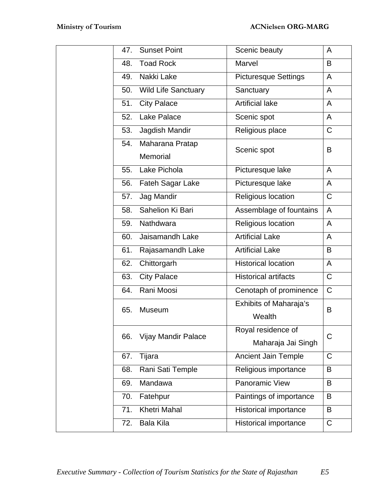| 47. | <b>Sunset Point</b>        | Scenic beauty                 | A            |
|-----|----------------------------|-------------------------------|--------------|
| 48. | <b>Toad Rock</b>           | Marvel                        | B            |
|     | 49. Nakki Lake             | <b>Picturesque Settings</b>   | A            |
|     | 50. Wild Life Sanctuary    | Sanctuary                     | A            |
|     | 51. City Palace            | <b>Artificial lake</b>        | $\mathsf{A}$ |
|     | 52. Lake Palace            | Scenic spot                   | A            |
| 53. | Jagdish Mandir             | Religious place               | C            |
|     | 54. Maharana Pratap        | Scenic spot                   | B            |
|     | Memorial                   |                               |              |
|     | 55. Lake Pichola           | Picturesque lake              | A            |
|     | 56. Fateh Sagar Lake       | Picturesque lake              | A            |
|     | 57. Jag Mandir             | Religious location            | $\mathsf{C}$ |
|     | 58. Sahelion Ki Bari       | Assemblage of fountains       | $\mathsf{A}$ |
| 59. | Nathdwara                  | Religious location            | $\mathsf{A}$ |
| 60. | Jaisamandh Lake            | <b>Artificial Lake</b>        | A            |
| 61. | Rajasamandh Lake           | <b>Artificial Lake</b>        | B            |
| 62. | Chittorgarh                | <b>Historical location</b>    | A            |
| 63. | <b>City Palace</b>         | <b>Historical artifacts</b>   | $\mathsf{C}$ |
| 64. | Rani Moosi                 | Cenotaph of prominence        | $\mathsf{C}$ |
| 65. | <b>Museum</b>              | <b>Exhibits of Maharaja's</b> | B            |
|     |                            | Wealth                        |              |
| 66. | <b>Vijay Mandir Palace</b> | Royal residence of            | C            |
|     |                            | Maharaja Jai Singh            |              |
| 67. | Tijara                     | <b>Ancient Jain Temple</b>    | C            |
| 68. | Rani Sati Temple           | Religious importance          | B            |
| 69. | Mandawa                    | <b>Panoramic View</b>         | B            |
| 70. | Fatehpur                   | Paintings of importance       | B            |
| 71. | <b>Khetri Mahal</b>        | <b>Historical importance</b>  | B            |
| 72. | <b>Bala Kila</b>           | <b>Historical importance</b>  | $\mathsf C$  |
|     |                            |                               |              |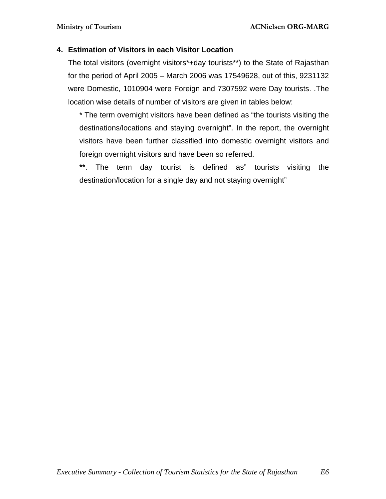## **4. Estimation of Visitors in each Visitor Location**

The total visitors (overnight visitors\*+day tourists\*\*) to the State of Rajasthan for the period of April 2005 – March 2006 was 17549628, out of this, 9231132 were Domestic, 1010904 were Foreign and 7307592 were Day tourists. .The location wise details of number of visitors are given in tables below:

\* The term overnight visitors have been defined as "the tourists visiting the destinations/locations and staying overnight". In the report, the overnight visitors have been further classified into domestic overnight visitors and foreign overnight visitors and have been so referred.

**\*\***. The term day tourist is defined as" tourists visiting the destination/location for a single day and not staying overnight"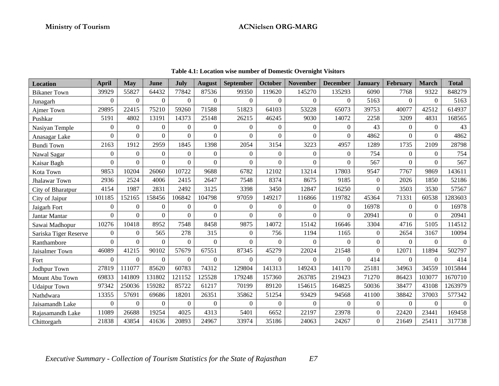| <b>Location</b>       | April          | <b>May</b>       | June     | July         | <b>August</b>    | September      | October          | <b>November</b>  | <b>December</b> | <b>January</b> | <b>February</b>  | <b>March</b> | <b>Total</b> |
|-----------------------|----------------|------------------|----------|--------------|------------------|----------------|------------------|------------------|-----------------|----------------|------------------|--------------|--------------|
| <b>Bikaner Town</b>   | 39929          | 55827            | 64432    | 77842        | 87536            | 99350          | 119620           | 145270           | 135293          | 6090           | 7768             | 9322         | 848279       |
| Junagarh              | $\Omega$       | $\Omega$         | $\Omega$ | $\Omega$     | $\Omega$         | $\Omega$       | $\Omega$         | $\Omega$         | $\Omega$        | 5163           | $\Omega$         | $\Omega$     | 5163         |
| Ajmer Town            | 29895          | 22415            | 75210    | 59260        | 71588            | 51823          | 64103            | 53228            | 65073           | 39753          | 40077            | 42512        | 614937       |
| Pushkar               | 5191           | 4802             | 13191    | 14373        | 25148            | 26215          | 46245            | 9030             | 14072           | 2258           | 3209             | 4831         | 168565       |
| Nasiyan Temple        | $\overline{0}$ | $\boldsymbol{0}$ | $\Omega$ | $\Omega$     | $\mathbf{0}$     | $\Omega$       | $\Omega$         | $\mathbf{0}$     | $\overline{0}$  | 43             | $\Omega$         | $\Omega$     | 43           |
| Anasagar Lake         | $\overline{0}$ | $\boldsymbol{0}$ | $\Omega$ | $\theta$     | $\theta$         | $\Omega$       | $\mathbf{0}$     | $\boldsymbol{0}$ | $\overline{0}$  | 4862           | $\Omega$         | $\Omega$     | 4862         |
| <b>Bundi Town</b>     | 2163           | 1912             | 2959     | 1845         | 1398             | 2054           | 3154             | 3223             | 4957            | 1289           | 1735             | 2109         | 28798        |
| Nawal Sagar           | $\overline{0}$ | $\boldsymbol{0}$ | $\Omega$ | $\Omega$     | $\overline{0}$   | $\overline{0}$ | $\boldsymbol{0}$ | $\boldsymbol{0}$ | $\overline{0}$  | 754            | $\boldsymbol{0}$ | $\Omega$     | 754          |
| Kaisar Bagh           | $\overline{0}$ | $\Omega$         | $\Omega$ | $\theta$     | $\Omega$         | $\Omega$       | $\theta$         | $\Omega$         | $\Omega$        | 567            | $\Omega$         | $\Omega$     | 567          |
| Kota Town             | 9853           | 10204            | 26060    | 10722        | 9688             | 6782           | 12102            | 13214            | 17803           | 9547           | 7767             | 9869         | 143611       |
| <b>Jhalawar Town</b>  | 2936           | 2524             | 4006     | 2415         | 2647             | 7548           | 8374             | 8675             | 9185            | $\Omega$       | 2026             | 1850         | 52186        |
| City of Bharatpur     | 4154           | 1987             | 2831     | 2492         | 3125             | 3398           | 3450             | 12847            | 16250           | $\Omega$       | 3503             | 3530         | 57567        |
| City of Jaipur        | 101185         | 152165           | 158456   | 106842       | 104798           | 97059          | 149217           | 116866           | 119782          | 45364          | 71331            | 60538        | 1283603      |
| Jaigarh Fort          | $\overline{0}$ | $\boldsymbol{0}$ | $\Omega$ | $\Omega$     | $\boldsymbol{0}$ | $\Omega$       | $\mathbf{0}$     | $\overline{0}$   | $\overline{0}$  | 16978          | $\theta$         | $\Omega$     | 16978        |
| Jantar Mantar         | $\mathbf{0}$   | $\Omega$         | $\Omega$ | $\theta$     | $\theta$         | $\Omega$       | $\theta$         | $\theta$         | $\Omega$        | 20941          | $\Omega$         | $\Omega$     | 20941        |
| Sawai Madhopur        | 10276          | 10418            | 8952     | 7548         | 8458             | 9875           | 14072            | 15142            | 16646           | 3304           | 4716             | 5105         | 114512       |
| Sariska Tiger Reserve | $\Omega$       | $\overline{0}$   | 565      | 278          | 315              | $\overline{0}$ | 756              | 1194             | 1165            | $\Omega$       | 2654             | 3167         | 10094        |
| Ranthambore           | $\Omega$       | $\Omega$         | $\Omega$ | $\Omega$     | $\Omega$         | $\Omega$       | $\theta$         | $\Omega$         | $\Omega$        | $\Omega$       | $\Omega$         | $\Omega$     | $\Omega$     |
| Jaisalmer Town        | 46089          | 41215            | 90102    | 57679        | 67551            | 87345          | 45279            | 22024            | 21548           | $\Omega$       | 12071            | 11894        | 502797       |
| Fort                  | $\Omega$       | $\Omega$         | $\Omega$ | $\Omega$     | $\theta$         | $\Omega$       | $\theta$         | $\Omega$         | $\Omega$        | 414            | $\Omega$         | $\Omega$     | 414          |
| Jodhpur Town          | 27819          | 111077           | 85620    | 60783        | 74312            | 129804         | 141313           | 149243           | 141170          | 25181          | 34963            | 34559        | 1015844      |
| Mount Abu Town        | 69833          | 141809           | 131802   | 121152       | 125528           | 179248         | 157360           | 263785           | 219423          | 71270          | 86423            | 103077       | 1670710      |
| <b>Udaipur Town</b>   | 97342          | 250036           | 159282   | 85722        | 61217            | 70199          | 89120            | 154615           | 164825          | 50036          | 38477            | 43108        | 1263979      |
| Nathdwara             | 13355          | 57691            | 69686    | 18201        | 26351            | 35862          | 51254            | 93429            | 94568           | 41100          | 38842            | 37003        | 577342       |
| Jaisamandh Lake       | $\overline{0}$ | $\Omega$         | $\Omega$ | $\mathbf{0}$ | $\mathbf{0}$     | $\Omega$       | $\theta$         | $\Omega$         | $\Omega$        | $\Omega$       | $\Omega$         | $\Omega$     | $\Omega$     |
| Rajasamandh Lake      | 11089          | 26688            | 19254    | 4025         | 4313             | 5401           | 6652             | 22197            | 23978           | $\overline{0}$ | 22420            | 23441        | 169458       |
| Chittorgarh           | 21838          | 43854            | 41636    | 20893        | 24967            | 33974          | 35186            | 24063            | 24267           | $\Omega$       | 21649            | 25411        | 317738       |

**Table 4.1: Location wise number of Domestic Overnight Visitors**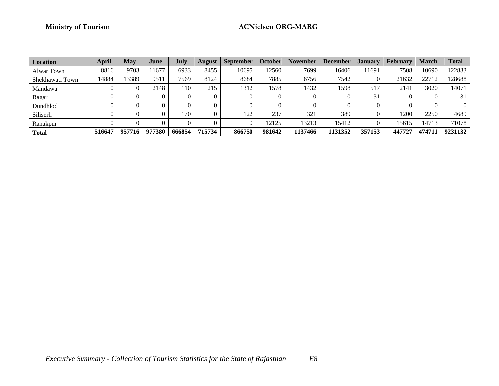# **Ministry of Tourism ACNielsen ORG-MARG**

| <b>Location</b> | <b>April</b> | <b>May</b> | June   | <b>July</b> | <b>August</b> | <b>September</b> | <b>October</b> | <b>November</b> | <b>December</b> | <b>January</b> | <b>February</b> | <b>March</b> | <b>Total</b> |
|-----------------|--------------|------------|--------|-------------|---------------|------------------|----------------|-----------------|-----------------|----------------|-----------------|--------------|--------------|
| Alwar Town      | 8816         | 9703       | 11677  | 6933        | 8455          | 10695            | 2560           | 7699            | 16406           | 11691          | 7508            | 10690        | 122833       |
| Shekhawati Town | 14884        | 3389       | 951    | 7569        | 8124          | 8684             | 7885           | 6756            | 7542            |                | 21632           | 22712        | 128688       |
| Mandawa         |              |            | 2148   | 110         | 215           | 1312             | 1578           | 1432            | 1598            | 517            | 2141            | 3020         | 14071        |
| Bagar           |              |            |        |             |               |                  |                |                 |                 | 31             |                 |              | 31           |
| Dundhlod        |              |            |        |             |               |                  |                |                 |                 |                |                 |              |              |
| Siliserh        |              |            |        | 170         |               | 122              | 237            | 321             | 389             |                | 1200            | 2250         | 4689         |
| Ranakpur        |              |            |        |             |               |                  | 12125          | 13213           | 15412           |                | 15615           | 14713        | 71078        |
| <b>Total</b>    | 516647       | 957716     | 977380 | 666854      | 715734        | 866750           | 981642         | 1137466         | 1131352         | 357153         | 447727          | 474711       | 9231132      |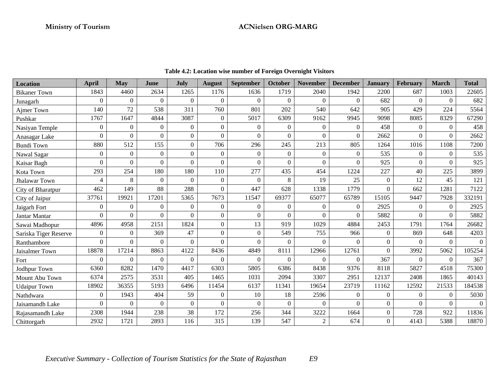| Location              | April          | <b>May</b>     | June             | July             | <b>August</b>  | <b>September</b> | October        | <b>November</b> | <b>December</b> | <b>January</b>   | <b>February</b> | <b>March</b> | <b>Total</b> |
|-----------------------|----------------|----------------|------------------|------------------|----------------|------------------|----------------|-----------------|-----------------|------------------|-----------------|--------------|--------------|
| <b>Bikaner</b> Town   | 1843           | 4460           | 2634             | 1265             | 1176           | 1636             | 1719           | 2040            | 1942            | 2200             | 687             | 1003         | 22605        |
| Junagarh              | $\Omega$       | $\theta$       | $\overline{0}$   | $\Omega$         | $\Omega$       | $\Omega$         | $\Omega$       | $\theta$        | $\Omega$        | 682              | $\theta$        | $\Omega$     | 682          |
| Ajmer Town            | 140            | 72             | 538              | 311              | 760            | 801              | 202            | 540             | 642             | 905              | 429             | 224          | 5564         |
| Pushkar               | 1767           | 1647           | 4844             | 3087             | $\overline{0}$ | 5017             | 6309           | 9162            | 9945            | 9098             | 8085            | 8329         | 67290        |
| Nasiyan Temple        | $\overline{0}$ | $\overline{0}$ | $\overline{0}$   | $\mathbf{0}$     | $\overline{0}$ | $\overline{0}$   | $\theta$       | $\overline{0}$  | $\mathbf{0}$    | 458              | $\mathbf{0}$    | $\Omega$     | 458          |
| Anasagar Lake         | 0              | $\Omega$       | $\mathbf{0}$     | $\boldsymbol{0}$ | $\Omega$       | $\Omega$         | $\Omega$       | $\overline{0}$  | $\theta$        | 2662             | $\Omega$        | $\Omega$     | 2662         |
| <b>Bundi Town</b>     | 880            | 512            | 155              | $\boldsymbol{0}$ | 706            | 296              | 245            | 213             | 805             | 1264             | 1016            | 1108         | 7200         |
| Nawal Sagar           | $\overline{0}$ | $\overline{0}$ | $\boldsymbol{0}$ | $\boldsymbol{0}$ | $\overline{0}$ | $\overline{0}$   | $\theta$       | $\overline{0}$  | $\mathbf{0}$    | 535              | $\mathbf{0}$    | $\Omega$     | 535          |
| Kaisar Bagh           | 0              | $\Omega$       | $\overline{0}$   | $\mathbf{0}$     | $\Omega$       | $\Omega$         | $\theta$       | $\overline{0}$  | $\theta$        | 925              | $\Omega$        | $\Omega$     | 925          |
| Kota Town             | 293            | 254            | 180              | 180              | 110            | 277              | 435            | 454             | 1224            | 227              | 40              | 225          | 3899         |
| Jhalawar Town         | 4              | 8              | $\overline{0}$   | $\Omega$         | $\overline{0}$ | $\Omega$         | 8              | 19              | 25              | $\mathbf{0}$     | 12              | 45           | 121          |
| City of Bharatpur     | 462            | 149            | 88               | 288              | $\Omega$       | 447              | 628            | 1338            | 1779            | $\Omega$         | 662             | 1281         | 7122         |
| City of Jaipur        | 37761          | 19921          | 17201            | 5365             | 7673           | 11547            | 69377          | 65077           | 65789           | 15105            | 9447            | 7928         | 332191       |
| Jaigarh Fort          | $\overline{0}$ | $\overline{0}$ | $\overline{0}$   | $\mathbf{0}$     | $\overline{0}$ | $\overline{0}$   | $\Omega$       | $\overline{0}$  | $\mathbf{0}$    | 2925             | $\theta$        | $\Omega$     | 2925         |
| Jantar Mantar         | 0              | 0              | $\mathbf{0}$     | $\overline{0}$   | $\overline{0}$ | $\Omega$         | $\theta$       | $\overline{0}$  | $\theta$        | 5882             | $\theta$        | $\Omega$     | 5882         |
| Sawai Madhopur        | 4896           | 4958           | 2151             | 1824             | $\overline{0}$ | 13               | 919            | 1029            | 4884            | 2453             | 1791            | 1764         | 26682        |
| Sariska Tiger Reserve | $\overline{0}$ | $\overline{0}$ | 369              | 47               | $\overline{0}$ | $\mathbf{0}$     | 549            | 755             | 966             | $\mathbf{0}$     | 869             | 648          | 4203         |
| Ranthambore           | 0              | $\Omega$       | $\overline{0}$   | $\boldsymbol{0}$ | $\Omega$       | $\Omega$         | $\Omega$       | $\theta$        | $\Omega$        | $\boldsymbol{0}$ | $\Omega$        | $\Omega$     | $\Omega$     |
| Jaisalmer Town        | 18878          | 17214          | 8863             | 4122             | 8436           | 4849             | 8111           | 12966           | 12761           | $\overline{0}$   | 3992            | 5062         | 105254       |
| Fort                  | $\Omega$       | $\Omega$       | $\overline{0}$   | $\mathbf{0}$     | $\overline{0}$ | $\Omega$         | $\Omega$       | $\theta$        | $\Omega$        | 367              | $\Omega$        | $\Omega$     | 367          |
| Jodhpur Town          | 6360           | 8282           | 1470             | 4417             | 6303           | 5805             | 6386           | 8438            | 9376            | 8118             | 5827            | 4518         | 75300        |
| Mount Abu Town        | 6374           | 2575           | 3531             | 405              | 1465           | 1031             | 2094           | 3307            | 2951            | 12137            | 2408            | 1865         | 40143        |
| <b>Udaipur Town</b>   | 18902          | 36355          | 5193             | 6496             | 11454          | 6137             | 11341          | 19654           | 23719           | 11162            | 12592           | 21533        | 184538       |
| Nathdwara             | 0              | 1943           | 404              | 59               | $\overline{0}$ | 10               | 18             | 2596            | $\Omega$        | $\mathbf{0}$     | $\mathbf{0}$    | $\Omega$     | 5030         |
| Jaisamandh Lake       | 0              | $\Omega$       | $\mathbf{0}$     | $\mathbf{0}$     | $\Omega$       | $\Omega$         | $\overline{0}$ | $\Omega$        | $\Omega$        | $\overline{0}$   | $\Omega$        | $\Omega$     | $\Omega$     |
| Rajasamandh Lake      | 2308           | 1944           | 238              | 38               | 172            | 256              | 344            | 3222            | 1664            | $\boldsymbol{0}$ | 728             | 922          | 11836        |
| Chittorgarh           | 2932           | 1721           | 2893             | 116              | 315            | 139              | 547            | $\overline{2}$  | 674             | $\boldsymbol{0}$ | 4143            | 5388         | 18870        |

**Table 4.2: Location wise number of Foreign Overnight Visitors**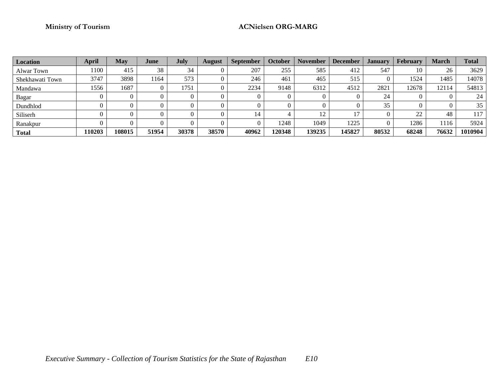# **Ministry of Tourism ACNielsen ORG-MARG**

| Location        | <b>April</b> | <b>May</b> | June  | <b>July</b> | <b>August</b> | <b>September</b> | <b>October</b> | <b>November</b> | <b>December</b> | <b>January</b> | <b>February</b> | March | Total   |
|-----------------|--------------|------------|-------|-------------|---------------|------------------|----------------|-----------------|-----------------|----------------|-----------------|-------|---------|
| Alwar Town      | ! 100        | 415        | 38    | 34          |               | 207              | 255            | 585             | 412             | 547            | 10              | 26    | 3629    |
| Shekhawati Town | 3747         | 3898       | 1164  | 573         |               | 246              | 461            | 465             | 515             |                | 1524            | 1485  | 14078   |
| Mandawa         | 1556         | 1687       |       | 1751        |               | 2234             | 9148           | 6312            | 4512            | 2821           | 12678           | 12114 | 54813   |
| Bagar           |              |            |       |             |               |                  |                |                 |                 | 24             |                 |       | 24      |
| Dundhlod        |              |            |       |             |               |                  |                |                 |                 | 35             |                 |       | 35      |
| Siliserh        |              |            |       |             |               | 14               |                | 12              | $1 -$           |                | 22              | 48    | 117     |
| Ranakpur        |              |            |       |             |               |                  | 1248           | 1049            | 1225            |                | 1286            | 1116  | 5924    |
| <b>Total</b>    | 10203        | 108015     | 51954 | 30378       | 38570         | 40962            | 120348         | 139235          | 145827          | 80532          | 68248           | 76632 | 1010904 |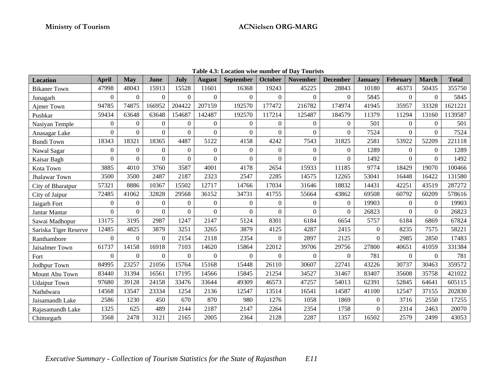| <b>Location</b>       | April          | May            | June             | July             | <b>August</b>  | <b>September</b> | <b>October</b>   | <b>November</b>  | <b>December</b>  | <b>January</b> | February       | <b>March</b> | <b>Total</b> |
|-----------------------|----------------|----------------|------------------|------------------|----------------|------------------|------------------|------------------|------------------|----------------|----------------|--------------|--------------|
| <b>Bikaner</b> Town   | 47998          | 48043          | 15913            | 15528            | 11601          | 16368            | 19243            | 45225            | 28843            | 10180          | 46373          | 50435        | 355750       |
| Junagarh              | $\overline{0}$ | $\overline{0}$ | $\Omega$         | $\Omega$         | $\Omega$       | $\overline{0}$   | $\Omega$         | $\Omega$         | $\Omega$         | 5845           | $\overline{0}$ | $\Omega$     | 5845         |
| Ajmer Town            | 94785          | 74875          | 166952           | 204422           | 207159         | 192570           | 177472           | 216782           | 174974           | 41945          | 35957          | 33328        | 1621221      |
| Pushkar               | 59434          | 63648          | 63648            | 154687           | 142487         | 192570           | 117214           | 125487           | 184579           | 11379          | 11294          | 13160        | 1139587      |
| Nasiyan Temple        | $\overline{0}$ | $\Omega$       | $\Omega$         | $\Omega$         | $\overline{0}$ | $\overline{0}$   | $\mathbf{0}$     | $\theta$         | $\overline{0}$   | 501            | $\Omega$       | $\Omega$     | 501          |
| Anasagar Lake         | $\mathbf{0}$   | $\overline{0}$ | $\Omega$         | $\Omega$         | $\Omega$       | $\theta$         | $\theta$         | $\boldsymbol{0}$ | $\overline{0}$   | 7524           | $\Omega$       | $\Omega$     | 7524         |
| <b>Bundi Town</b>     | 18343          | 18321          | 18365            | 4487             | 5122           | 4158             | 4242             | 7543             | 31825            | 2581           | 53922          | 52209        | 221118       |
| Nawal Sagar           | $\overline{0}$ | $\Omega$       | $\Omega$         | $\Omega$         | $\Omega$       | $\Omega$         | $\boldsymbol{0}$ | $\Omega$         | $\Omega$         | 1289           | $\Omega$       | $\Omega$     | 1289         |
| Kaisar Bagh           | $\overline{0}$ | $\Omega$       | $\Omega$         | $\Omega$         | $\Omega$       | $\Omega$         | $\theta$         | $\Omega$         | $\Omega$         | 1492           | $\Omega$       | $\Omega$     | 1492         |
| Kota Town             | 3885           | 4010           | 3760             | 3587             | 4001           | 4178             | 2654             | 15933            | 11185            | 9774           | 18429          | 19070        | 100466       |
| Jhalawar Town         | 3500           | 3500           | 2487             | 2187             | 2323           | 2547             | 2285             | 14575            | 12265            | 53041          | 16448          | 16422        | 131580       |
| City of Bharatpur     | 57321          | 8886           | 10367            | 15502            | 12717          | 14766            | 17034            | 31646            | 18832            | 14431          | 42251          | 43519        | 287272       |
| City of Jaipur        | 72485          | 41062          | 32828            | 29568            | 36152          | 34731            | 41755            | 55664            | 43862            | 69508          | 60792          | 60209        | 578616       |
| Jaigarh Fort          | $\overline{0}$ | $\mathbf{0}$   | $\boldsymbol{0}$ | $\boldsymbol{0}$ | $\overline{0}$ | $\overline{0}$   | $\mathbf{0}$     | $\theta$         | $\boldsymbol{0}$ | 19903          | $\Omega$       | $\Omega$     | 19903        |
| Jantar Mantar         | $\overline{0}$ | $\overline{0}$ | $\Omega$         | $\Omega$         | $\Omega$       | $\Omega$         | $\theta$         | $\Omega$         | $\overline{0}$   | 26823          | $\Omega$       | $\Omega$     | 26823        |
| Sawai Madhopur        | 13175          | 3195           | 2987             | 1247             | 2147           | 5124             | 8301             | 6184             | 6654             | 5757           | 6184           | 6869         | 67824        |
| Sariska Tiger Reserve | 12485          | 4825           | 3879             | 3251             | 3265           | 3879             | 4125             | 4287             | 2415             | $\overline{0}$ | 8235           | 7575         | 58221        |
| Ranthambore           | $\Omega$       | $\Omega$       | $\Omega$         | 2154             | 2118           | 2354             | $\Omega$         | 2897             | 2125             | $\Omega$       | 2985           | 2850         | 17483        |
| Jaisalmer Town        | 61737          | 14158          | 16918            | 7103             | 14620          | 15864            | 22012            | 39706            | 29756            | 27800          | 40651          | 41059        | 331384       |
| Fort                  | $\Omega$       | $\Omega$       | $\Omega$         | $\Omega$         | $\Omega$       | $\Omega$         | $\Omega$         | $\Omega$         | $\theta$         | 781            | $\Omega$       | $\Omega$     | 781          |
| Jodhpur Town          | 84995          | 23257          | 21056            | 15764            | 15168          | 15448            | 26110            | 30607            | 22741            | 43226          | 30737          | 30463        | 359572       |
| Mount Abu Town        | 83440          | 31394          | 16561            | 17195            | 14566          | 15845            | 21254            | 34527            | 31467            | 83407          | 35608          | 35758        | 421022       |
| <b>Udaipur Town</b>   | 97680          | 39128          | 24158            | 33476            | 33644          | 49309            | 46573            | 47257            | 54013            | 62391          | 52845          | 64641        | 605115       |
| Nathdwara             | 14568          | 13547          | 23334            | 1254             | 2136           | 12547            | 13514            | 16541            | 14587            | 41100          | 12547          | 37155        | 202830       |
| Jaisamandh Lake       | 2586           | 1230           | 450              | 670              | 870            | 980              | 1276             | 1058             | 1869             | $\mathbf{0}$   | 3716           | 2550         | 17255        |
| Rajasamandh Lake      | 1325           | 625            | 489              | 2144             | 2187           | 2147             | 2264             | 2354             | 1758             | $\Omega$       | 2314           | 2463         | 20070        |
| Chittorgarh           | 3568           | 2478           | 3121             | 2165             | 2005           | 2364             | 2128             | 2287             | 1357             | 16502          | 2579           | 2499         | 43053        |

**Table 4.3: Location wise number of Day Tourists**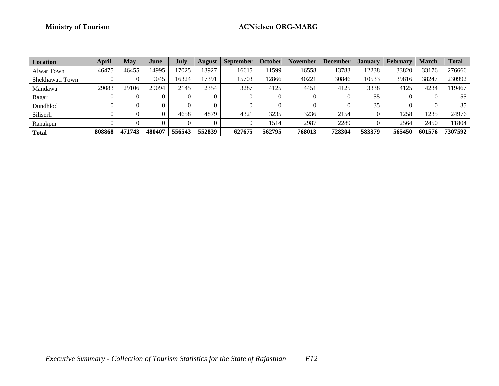# **Ministry of Tourism ACNielsen ORG-MARG**

| <b>Location</b> | <b>April</b> | May    | June   | July   | <b>August</b> | <b>September</b> | October | <b>November</b> | <b>December</b> | January | <b>February</b> | <b>March</b> | <b>Total</b> |
|-----------------|--------------|--------|--------|--------|---------------|------------------|---------|-----------------|-----------------|---------|-----------------|--------------|--------------|
| Alwar Town      | 46475        | 46455  | 14995  | 7025   | 3927          | 16615            | 1599    | 16558           | 13783           | 12238   | 33820           | 33176        | 276666       |
| Shekhawati Town |              |        | 9045   | 16324  | 7391          | 15703            | 12866   | 40221           | 30846           | 10533   | 39816           | 38247        | 230992       |
| Mandawa         | 29083        | 29106  | 29094  | 2145   | 2354          | 3287             | 4125    | 4451            | 4125            | 3338    | 4125            | 4234         | 119467       |
| <b>Bagar</b>    |              |        |        |        |               |                  |         |                 |                 | 55      |                 |              | 55           |
| Dundhlod        |              |        |        |        |               |                  |         |                 |                 | 35      |                 |              | 35           |
| Siliserh        |              |        |        | 4658   | 4879          | 4321             | 3235    | 3236            | 2154            |         | 1258            | 1235         | 24976        |
| Ranakpur        |              |        |        |        |               |                  | 1514    | 2987            | 2289            |         | 2564            | 2450         | 11804        |
| <b>Total</b>    | 808868       | 471743 | 480407 | 556543 | 552839        | 627675           | 562795  | 768013          | 728304          | 583379  | 565450          | 601576       | 7307592      |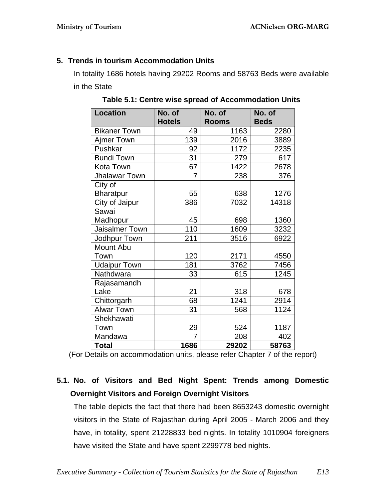# **5. Trends in tourism Accommodation Units**

In totality 1686 hotels having 29202 Rooms and 58763 Beds were available in the State

| <b>Location</b>     | No. of         | No. of       | No. of      |
|---------------------|----------------|--------------|-------------|
|                     | <b>Hotels</b>  | <b>Rooms</b> | <b>Beds</b> |
| <b>Bikaner Town</b> | 49             | 1163         | 2280        |
| Ajmer Town          | 139            | 2016         | 3889        |
| Pushkar             | 92             | 1172         | 2235        |
| <b>Bundi Town</b>   | 31             | 279          | 617         |
| Kota Town           | 67             | 1422         | 2678        |
| Jhalawar Town       | 7              | 238          | 376         |
| City of             |                |              |             |
| <b>Bharatpur</b>    | 55             | 638          | 1276        |
| City of Jaipur      | 386            | 7032         | 14318       |
| Sawai               |                |              |             |
| Madhopur            | 45             | 698          | 1360        |
| Jaisalmer Town      | 110            | 1609         | 3232        |
| Jodhpur Town        | 211            | 3516         | 6922        |
| Mount Abu           |                |              |             |
| Town                | 120            | 2171         | 4550        |
| <b>Udaipur Town</b> | 181            | 3762         | 7456        |
| Nathdwara           | 33             | 615          | 1245        |
| Rajasamandh         |                |              |             |
| Lake                | 21             | 318          | 678         |
| Chittorgarh         | 68             | 1241         | 2914        |
| <b>Alwar Town</b>   | 31             | 568          | 1124        |
| Shekhawati          |                |              |             |
| Town                | 29             | 524          | 1187        |
| Mandawa             | $\overline{7}$ | 208          | 402         |
| <b>Total</b>        | 1686           | 29202        | 58763       |

**Table 5.1: Centre wise spread of Accommodation Units** 

(For Details on accommodation units, please refer Chapter 7 of the report)

# **5.1. No. of Visitors and Bed Night Spent: Trends among Domestic Overnight Visitors and Foreign Overnight Visitors**

The table depicts the fact that there had been 8653243 domestic overnight visitors in the State of Rajasthan during April 2005 - March 2006 and they have, in totality, spent 21228833 bed nights. In totality 1010904 foreigners have visited the State and have spent 2299778 bed nights.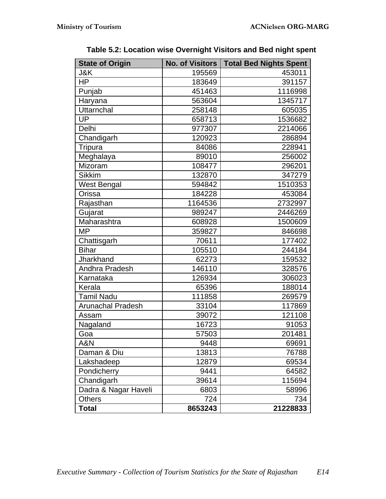| <b>State of Origin</b>   | <b>No. of Visitors</b> | <b>Total Bed Nights Spent</b> |
|--------------------------|------------------------|-------------------------------|
| J&K                      | 195569                 | 453011                        |
| HP                       | 183649                 | 391157                        |
| Punjab                   | 451463                 | 1116998                       |
| Haryana                  | 563604                 | 1345717                       |
| Uttarnchal               | 258148                 | 605035                        |
| UP                       | 658713                 | 1536682                       |
| Delhi                    | 977307                 | 2214066                       |
| Chandigarh               | 120923                 | 286894                        |
| Tripura                  | 84086                  | 228941                        |
| Meghalaya                | 89010                  | 256002                        |
| Mizoram                  | 108477                 | 296201                        |
| <b>Sikkim</b>            | 132870                 | 347279                        |
| <b>West Bengal</b>       | 594842                 | 1510353                       |
| Orissa                   | 184228                 | 453084                        |
| Rajasthan                | 1164536                | 2732997                       |
| Gujarat                  | 989247                 | 2446269                       |
| Maharashtra              | 608928                 | 1500609                       |
| <b>MP</b>                | 359827                 | 846698                        |
| Chattisgarh              | 70611                  | 177402                        |
| <b>Bihar</b>             | 105510                 | 244184                        |
| Jharkhand                | 62273                  | 159532                        |
| Andhra Pradesh           | 146110                 | 328576                        |
| Karnataka                | 126934                 | 306023                        |
| Kerala                   | 65396                  | 188014                        |
| <b>Tamil Nadu</b>        | 111858                 | 269579                        |
| <b>Arunachal Pradesh</b> | 33104                  | 117869                        |
| Assam                    | 39072                  | 121108                        |
| Nagaland                 | 16723                  | 91053                         |
| Goa                      | 57503                  | 201481                        |
| A&N                      | 9448                   | 69691                         |
| Daman & Diu              | 13813                  | 76788                         |
| Lakshadeep               | 12879                  | 69534                         |
| Pondicherry              | 9441                   | 64582                         |
| Chandigarh               | 39614                  | 115694                        |
| Dadra & Nagar Haveli     | 6803                   | 58996                         |
| <b>Others</b>            | 724                    | 734                           |
| <b>Total</b>             | 8653243                | 21228833                      |

**Table 5.2: Location wise Overnight Visitors and Bed night spent**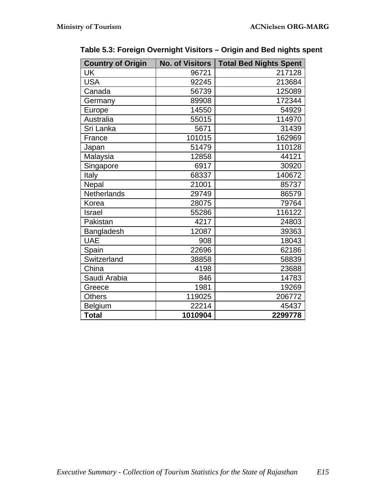| <b>Country of Origin</b> | <b>No. of Visitors</b> | <b>Total Bed Nights Spent</b> |
|--------------------------|------------------------|-------------------------------|
| <b>UK</b>                | 96721                  | 217128                        |
| <b>USA</b>               | 92245                  | 213684                        |
| Canada                   | 56739                  | 125089                        |
| Germany                  | 89908                  | 172344                        |
| Europe                   | 14550                  | 54929                         |
| Australia                | 55015                  | 114970                        |
| Sri Lanka                | 5671                   | 31439                         |
| France                   | 101015                 | 162969                        |
| Japan                    | 51479                  | 110128                        |
| Malaysia                 | 12858                  | 44121                         |
| Singapore                | 6917                   | 30920                         |
| Italy                    | 68337                  | 140672                        |
| Nepal                    | 21001                  | 85737                         |
| Netherlands              | 29749                  | 86579                         |
| Korea                    | 28075                  | 79764                         |
| Israel                   | 55286                  | 116122                        |
| Pakistan                 | 4217                   | 24803                         |
| Bangladesh               | 12087                  | 39363                         |
| <b>UAE</b>               | 908                    | 18043                         |
| Spain                    | 22696                  | 62186                         |
| Switzerland              | 38858                  | 58839                         |
| China                    | 4198                   | 23688                         |
| Saudi Arabia             | 846                    | 14783                         |
| Greece                   | 1981                   | 19269                         |
| <b>Others</b>            | 119025                 | 206772                        |
| Belgium                  | 22214                  | 45437                         |
| <b>Total</b>             | 1010904                | 2299778                       |

**Table 5.3: Foreign Overnight Visitors – Origin and Bed nights spent**